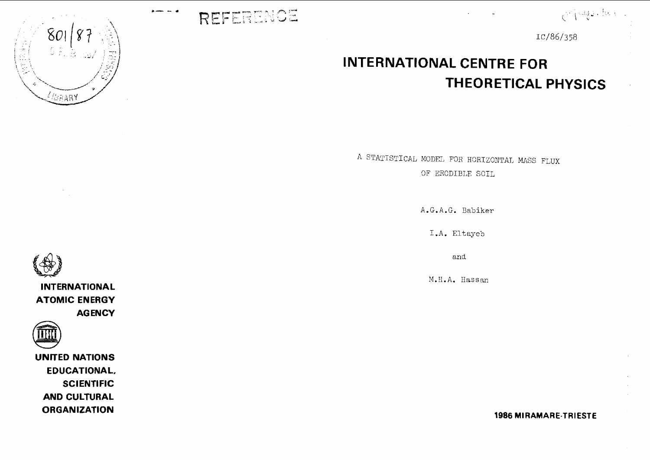

\* • • - \* \*

 $R$ EFERENCE

IC/86/358

# **INTERNATIONAL CENTRE FOR THEORETICAL PHYSICS**

A STATISTICAL MODEL FOR HORIZONTAL MASS FLUX OF ERODIBLE SOIL

A.G.A.G. Babiker

I.A. Eltayeb

and.

M.H.A. Hassan



**INTERNATIONAL ATOMIC ENERGY AGENCY**



**UNITED NATIONS EDUCATIONAL, SCIENTIFIC AND CULTURAL ORGANIZATION**

**1986 MIRAMARE TRIESTE**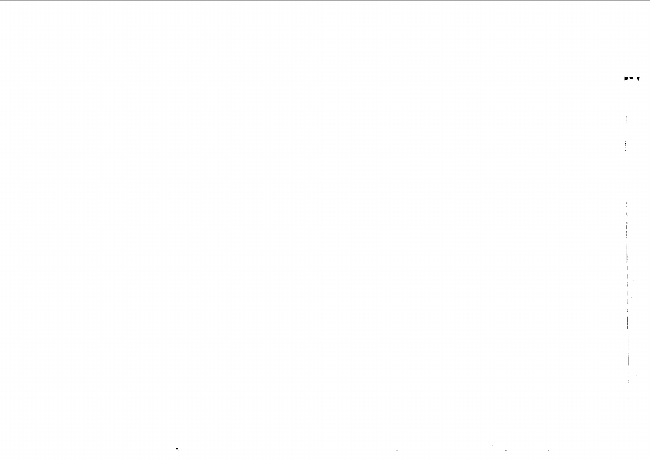$\sim 10^{-1}$ **. . .** pine.

 $\sim 100$ 

 $\mathcal{L}^{\text{max}}_{\text{max}}$  , where  $\mathcal{L}^{\text{max}}_{\text{max}}$  $\mathcal{A}_1$ 

 $\mathcal{L}$ 

 $\mathcal{L}^{\mathcal{L}}(\mathcal{L}^{\mathcal{L}})$  and  $\mathcal{L}^{\mathcal{L}}(\mathcal{L}^{\mathcal{L}})$  . The contribution of the set of  $\mathcal{L}^{\mathcal{L}}$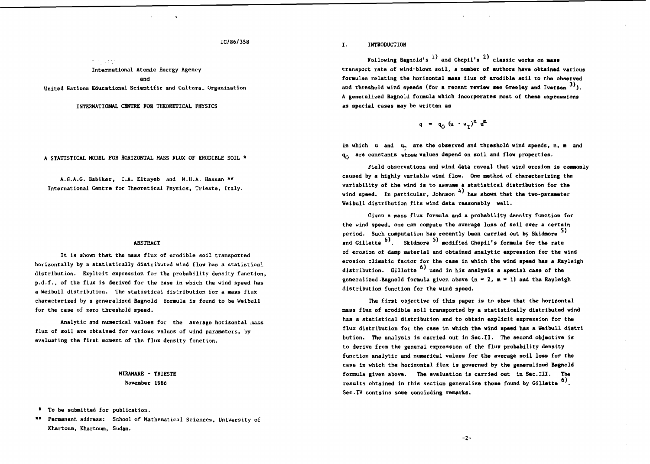# **IC/86/358**

 $\mathbf{y}_{12} \in \mathbb{R}^{n \times d}$  where  $\mathbf{y}_{12}$ **International Atomic Energy Agency and United Nations Educational Scientifi c and Cultural Organization**

**INTERNATIONAL CENTRE FOR THEORETICAL PHYSICS**

**A STATISTICAL MODEL FOR HORIZONTAL MASS FLUX OF ERODIBLE SOIL \***

**A.G.A.G. Babiker, I.A. Eltayeb and M.ll.A. Hassan \*\*** International Centre for Theoretical Physics, Trieste, Italy.

#### **ABSTRACT**

**It is shown that the mass flux of erodible sail transported horizontally by a statistically distributed wind flow has a statistical distribution. Explicit expression for the probability density function, p.d.f., of the flux is derived for the case in which the wind speed has a Weibull distribution. The statistical distribution for a mass flux characterized by a generalized Bagnold formula is found to be Weibull far the case of zero threshold speed.**

**Analytic and numerical values for the average horizontal mass flux of soil are obtained for various values of wind parameters, by evaluating the first moment of the flux density function.**

> **MIRAMARE - TRIESTE November 1986**

**\* To be submitted for publication.**

**\*• Permanent address: School of Mathematical Sciences, University of Khartoum, Khartoum, Sudan.**

# **I. INTRODUCTION**

**Following Bagnold(s ' and Chepil's ' classic works on mass transport rate of wind-blown soil, a nuaber of authors have obtained various formulae relating the horizontal mass flux of erodible soil to the observed and threshold wind speeds (for a recent review see Greeley and Ivarsen ). A generalized Bagnold formula which Incorporates most of these expressions as special cases may be written as**

$$
q = q_0 (u - u_T)^n u^m
$$

in which u and u<sub>m</sub> are the observed and threshold wind speeds, n, m and  $q_{\alpha}$  are constants whose values depend on soil and flow properties.

**Field observations and wind data reveal that wind erosion is coma inly caused by a highly variable wind flow. One method of characterizing the variability of the wind is to assume a statistical distribution for the** wind speed. In particular, Johnson <sup>4</sup>, has shown that the two-parameter **Weibull distribution fits wind data reasonably well.**

**Given a mass flux formula and a probability density function for the wind speed, one can compute the average loss of soil over a certain period. Such computation has recently been carried out by Skidaore** and Gillette <sup>6)</sup>. Skidmore <sup>5)</sup> modified Chepil's formula for the rate **of erosion of damp material and obtained analytic expression for the wind erosion climatic factor for the case in which the wind speed has a Rayleigh** distribution. Gillette  $6$ ) used in his analysis a special case of the generalized Bagnold formula given above  $(n = 2, m = 1)$  and the Rayleigh **distribution function for the wind speed.**

**The first objective of this paper is to show that the horizontal mass flux of erodible soil transported by a statistically distributed wind has a statistical distribution and to obtain explicit expression for the flux distribution for the case in which the wind speed has a Weibull distribution. The analysis is carried out in Sec.II. The second objective is to derive from the general expression of the flux probability density function analytic and numerical values for the average soil loss for the case in which the horizontal flux Is governed by the generalized Bagnold formula given above. The evaluation is carried out in Sec.III. The** results obtained in this section generalize those found by Gillette <sup>6)</sup>. **Sec.IV contains some concluding remarks.**

**-2-**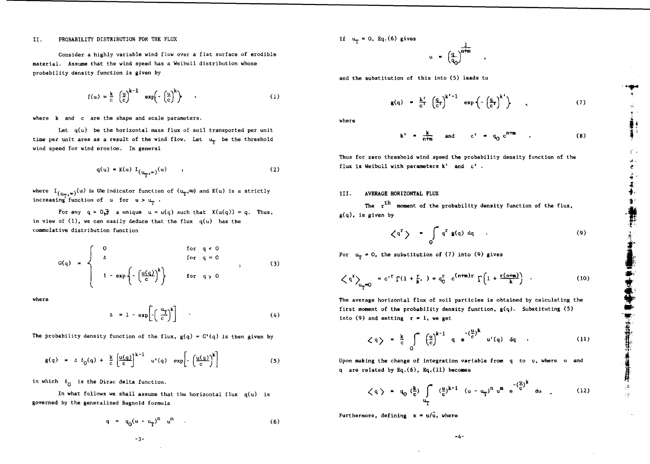#### II. PROBABILITY DISTRIBUTION FOR THE FLUX

Consider a highly variable wind flow over a flat surface of erodible material. Assume that the wind speed has a Weibull distribution whose probability density function is given by

$$
f(u) = \frac{k}{c} \left(\frac{u}{c}\right)^{k-1} \exp\left(-\left(\frac{u}{c}\right)^k\right) \qquad , \tag{1}
$$

where k and c are the shape and scale parameters.

Let  $q(u)$  be the horizontal mass flux of soil transported per unit time per unit area as a result of the wind flow. Let  $u_{\pi}$  be the threshold wind speed for wind erosion. In general

$$
q(u) = K(u) I_{(u_{T},\infty)}(u) \qquad (2)
$$

where  $I_{(u_m,\infty)}(u)$  is the indicator function of  $(u_m,\infty)$  and  $K(u)$  is a strictly increasing function of u for  $u > u_{\pi}$ .

For any  $q > 0$ <sup>3</sup> a unique  $u = u(q)$  such that  $K(u(q)) = q$ . Thus, in view of  $(1)$ , we can easily deduce that the flux  $q(u)$  has the commulative distribution function

$$
G(q) = \begin{cases} 0 & \text{for } q < 0 \\ \Delta & \text{for } q = 0 \\ 1 - \exp\left\{-\left(\frac{u(q)}{c}\right)^k\right\} & \text{for } q > 0 \end{cases}
$$
 (3)

where

$$
\Delta = 1 - \exp\left[-\left(\frac{u_T}{c}\right)^k\right] \qquad (4)
$$

The probability density function of the flux,  $g(q) = G'(q)$  is then given by

$$
g(q) = \Delta \delta_0(q) + \frac{k}{c} \left[ \frac{u(q)}{c} \right]^{k-1} u'(q) \exp \left[ - \left( \frac{u(q)}{c} \right)^k \right]
$$
 (5)

in which  $\delta_{\Omega}$  is the Dirac delta function.

In what follows we shall assume that the horizontal flux  $q(u)$  is governed by the generalized Bagnold formula

$$
q = q_0 (u - u_T)^n u^m \t\t(6)
$$

If  $u_T = 0$ , Eq.(6) gives

$$
u = \left(\frac{q}{q_0}\right)^{\frac{1}{n+m}}
$$

and the substitution of this into (5) leads to

$$
g(q) = \frac{k'}{c^{\dagger}} \left( \frac{q}{c^{\dagger}} \right)^{k'-1} \exp \left\{ - \left( \frac{q}{c^{\dagger}} \right)^{k'} \right\} , \qquad (7)
$$

where

$$
k' = \frac{k}{n+m}
$$
 and  $c' = q_0 e^{n+m}$  (8)

Thus for zero threshold wind speed the probability density function of the flux is Weibull with parameters  $k<sup>1</sup>$  and  $c'$ .

# III. AVERAGE HORIZONTAL FLUX

The  $r^{th}$  moment of the probability density function of the flux,  $g(q)$ , is given by

$$
\left\langle q^{r}\right\rangle = \int\limits_{0}^{\infty} q^{r} g(q) dq \qquad (9)
$$

1. 新型 计

「金融の場合」という。<br>「金融の場合」という。

ل ف e.

学术

**I** 

**i**

**第2卷要查看我的话是是在你们的** 

For  $u_{\pi} = 0$ , the substitution of (7) into (9) gives

$$
\left\langle q^{r} \right\rangle_{u_{\mathbf{T}}^{\text{mQ}}} = e^{r^{r}} \Gamma(1 + \frac{r}{k}, ) = q_{0}^{r} e^{(n + m)r} \Gamma\left(1 + \frac{r(n + m)}{k}\right) \quad . \tag{10}
$$

The average horizontal flux of soil particles is obtained by calculating the first moment of the probability density function,  $g(q)$ . Substituting (5) into (9) and setting  $r = 1$ , we get

$$
\langle q \rangle = \frac{k}{c} \int_{0}^{\infty} \left(\frac{u}{c}\right)^{k-1} q e^{-\left(\frac{u}{c}\right)^k} u'(q) dq
$$
 (11)

Upon making the change of integration variable from  $q$  to  $u$ , where  $u$  and q are related by Eq. $(6)$ , Eq. $(11)$  becomes

$$
\langle q \rangle = q_0 \left(\frac{k}{c}\right) \int_{\frac{u_1}{c}}^{\infty} \left(\frac{u}{c}\right)^{k-1} (u - u_T)^n u^m e^{-\left(\frac{u_1}{c}\right)^k} du
$$
 (12)

Furthermore, defining  $x = u/u$ , where

-4-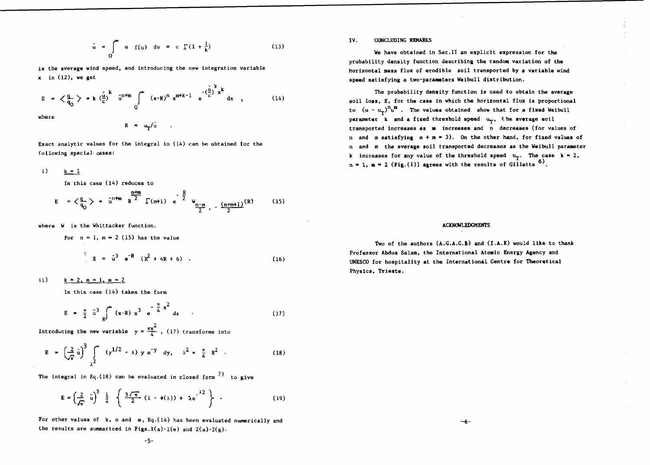$$
\bar{u} = \int_{0}^{\infty} u f(u) du = c \Gamma(1 + \frac{1}{k})
$$
 (13)

**is the average wind speed, and introducing the new integration variable x in (12), we get**

$$
E = \left\langle \frac{q}{q_0} \right\rangle = k \left( \frac{u}{c} \right)^k \bar{u}^{n+m} \int_0^\infty (x - k)^n x^{m+k-1} e^{-\left( \frac{u}{c} \right)^k x^k} dx , \qquad (14)
$$

**where**

$$
R = u_T/\bar{u}
$$

**Exact analytic values for the integral in (14) can be obtained for the following special cases:**

$$
i) \qquad k = 1
$$

**In this case (14) reduces to**

$$
E = \left\langle \frac{q}{q_0} \right\rangle = \bar{u}^{n+m} R^{\frac{n+m}{2}} \Gamma(m+1) e^{-\frac{R}{2}} \omega_{\frac{n-m}{2}, -\frac{(n+m+1)}{2}}(R) \qquad (15)
$$

where W is the Whittacker function.

For 
$$
n = 1
$$
,  $m = 2$  (15) has the value  
\n $\bar{R} = \bar{u}^3 e^{-R} (K^2 + 4R + 6)$  (16)

ii)  $k = 2, n = 1, m = 2$ 

**In this case (14) takes the form**

$$
E = \frac{\pi}{2} \bar{u}^3 \int_0^{\infty} (x-R) x^3 e^{-\frac{\pi}{4} x^2} dx
$$
 (17)

**Introducing the new variable**  $y = \frac{\pi x^2}{4}$ , (17) transforms into

$$
E = \left(\frac{2}{\sqrt{\pi}}\bar{u}\right)^3 \int_{\lambda^2}^{\infty} (y^{1/2} - \lambda) y e^{-y} dy, \quad \lambda^2 = \frac{\pi}{4} R^2 . \tag{18}
$$

The integral in Eq.(18) can be evaluated in closed form<sup>7)</sup> to give

$$
\mathbf{E} = \left(\frac{2}{\sqrt{\pi}} - \bar{u}\right)^3 \frac{1}{2} \left\{ \frac{3\sqrt{\pi}}{2} \left(1 - \phi(\lambda)\right) + \lambda e^{-\lambda 2} \right\} \quad . \tag{19}
$$

For other values of k, n and m, Eq.(14) has been evaluated numerically and the results are summarized in Figs.  $I(a)-I(e)$  and  $2(a)-2(g)$ .

## **IV. CONCLUDING REMARKS**

**We have obtained in Sec.II an explicit expression for the probability density function describing the random variation of the** horizontal mass flux of erodible soil transported by a variable wind **speed satisfying a two-parameters Weibull distribution.**

**The probability density function is used to obtain the average soil loss, E, for the case in which the horizontal flux is proportional** to  $(u - u_{\pi})^n u^{\pi}$ . The values obtained show that for a fixed Weibull parameter k and a fixed threshold speed u<sub>n</sub>, the average soil **transported increases as m increases and n decreases (for values of n and m satisfying n + m - 3). On the other hand, for fixed values of n and m the average soil transported decreases as the Weibull parameter k** increases for any value of the threshold speed  $u<sub>T</sub>$ . The case  $k = 2$ ,  $n = 1$ ,  $m = 2$  (Fig.(1)) agrees with the results of Gillette  $6$ )

### **ACKNOWLEDGMENTS**

**Two of the authors (A.G.A.G.B) and (I.A.E) would like to thank Professor Abdus Salam, the International Atomic Energy Agency and UNESCO for hospitality at the International Centre for Theoretical Physics, Trieste.**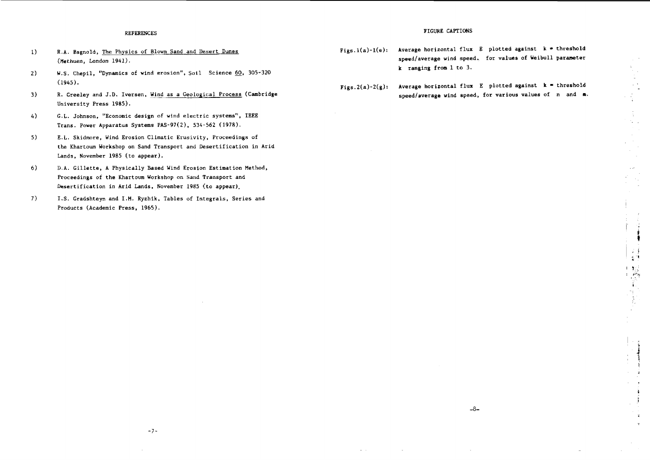# REFERENCES

- 1) R.A. Bagnold, The Physics of Blown Sand and Desert Dunes (Methuen, London 1941),
- 2) W.S. Chepil, "Dynamics of wind erosion", Soil Science 60, 305-320 (1945).
- 3) R. Greeley and J.D. Iversen, Wind as a Geological Process (Cambridge University Press 1985).
- 4) G.L. Johnson, "Economic design of wind electric systems", IEEE Trans. Power Apparatus Systems PAS-97(2), 534-562 (1978).
- 5) E.L. Skidmore, Wind Erosion Climatic Erusivity, Proceedings of the Khartoum Workshop on Sand Transport and Desertification in Arid Lands, November 1985 (to appear).
- 6) D.A. Gillette, A Physically Based Wind Erosion Estimation Method, Proceedings of the Khartoum Workshop on Sand Transport and Desertification in Arid Lands, November 1985 (to appear).
- 7) I.S. Gradshteyn and I.M. Ryzhik, Tables of Integrals, Series and Products (Academic Press, 1965).
- FIGURE CAPTIONS
- Figs.  $l(a)-l(e)$ : Average horizontal flux E plotted against  $k = th$ reshold speed/average wind speed, for values of Weibull parameter k ranging from 1 to 3,
- Figs.  $2(a)-2(q)$ : Average horizontal flux E plotted against  $k =$  threshold speed/average wind speed, for various values of n and m.

 $-8-$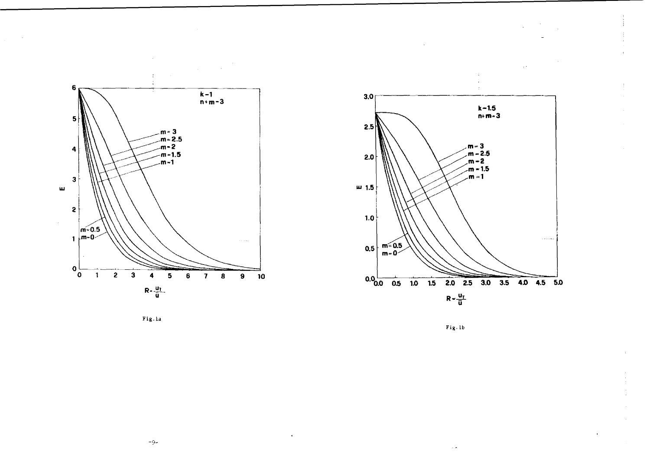



 $\pm$  .

 $\bullet$ 

Fig.1a

Fig.1b

 $\sim$   $\sim$ 

 $\bullet$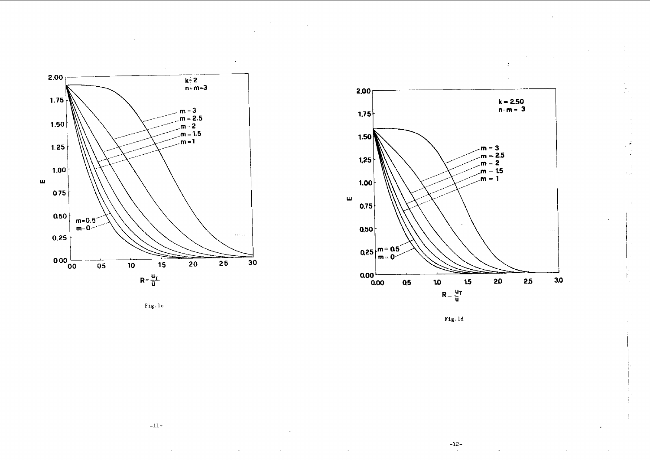





 $\mathbb{E}^{\mathbb{P}}$ 

Fig.1d

÷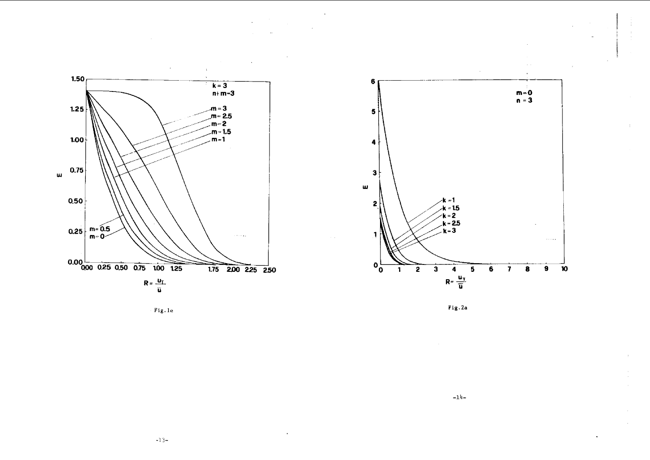





 $\pm$ 





 $\alpha$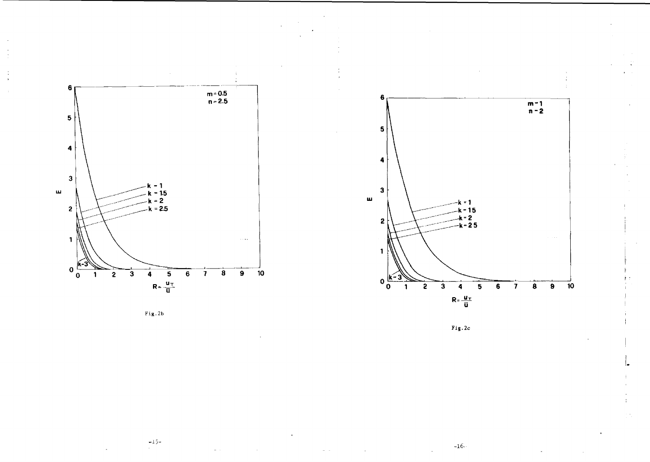





Fig.2c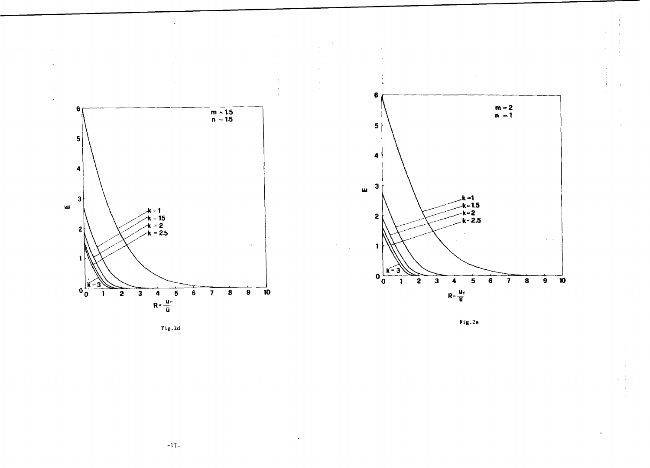







-17-